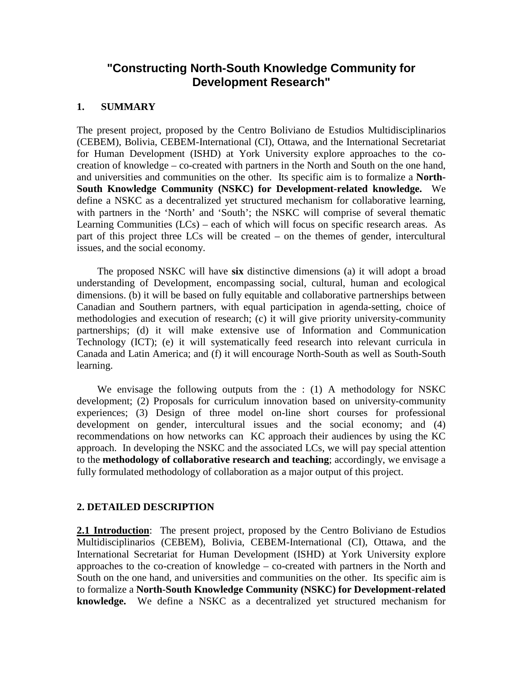# **"Constructing North-South Knowledge Community for Development Research"**

#### **1. SUMMARY**

The present project, proposed by the Centro Boliviano de Estudios Multidisciplinarios (CEBEM), Bolivia, CEBEM-International (CI), Ottawa, and the International Secretariat for Human Development (ISHD) at York University explore approaches to the cocreation of knowledge – co-created with partners in the North and South on the one hand, and universities and communities on the other. Its specific aim is to formalize a **North-South Knowledge Community (NSKC) for Development-related knowledge.** We define a NSKC as a decentralized yet structured mechanism for collaborative learning, with partners in the 'North' and 'South'; the NSKC will comprise of several thematic Learning Communities (LCs) – each of which will focus on specific research areas. As part of this project three LCs will be created – on the themes of gender, intercultural issues, and the social economy.

 The proposed NSKC will have **six** distinctive dimensions (a) it will adopt a broad understanding of Development, encompassing social, cultural, human and ecological dimensions. (b) it will be based on fully equitable and collaborative partnerships between Canadian and Southern partners, with equal participation in agenda-setting, choice of methodologies and execution of research; (c) it will give priority university-community partnerships; (d) it will make extensive use of Information and Communication Technology (ICT); (e) it will systematically feed research into relevant curricula in Canada and Latin America; and (f) it will encourage North-South as well as South-South learning.

 We envisage the following outputs from the : (1) A methodology for NSKC development; (2) Proposals for curriculum innovation based on university-community experiences; (3) Design of three model on-line short courses for professional development on gender, intercultural issues and the social economy; and (4) recommendations on how networks can KC approach their audiences by using the KC approach. In developing the NSKC and the associated LCs, we will pay special attention to the **methodology of collaborative research and teaching**; accordingly, we envisage a fully formulated methodology of collaboration as a major output of this project.

### **2. DETAILED DESCRIPTION**

2.1 Introduction: The present project, proposed by the Centro Boliviano de Estudios Multidisciplinarios (CEBEM), Bolivia, CEBEM-International (CI), Ottawa, and the International Secretariat for Human Development (ISHD) at York University explore approaches to the co-creation of knowledge – co-created with partners in the North and South on the one hand, and universities and communities on the other. Its specific aim is to formalize a **North-South Knowledge Community (NSKC) for Development-related knowledge.** We define a NSKC as a decentralized yet structured mechanism for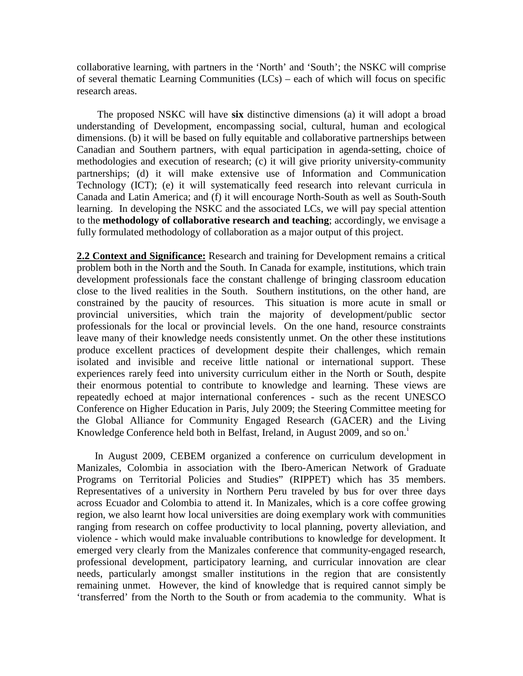collaborative learning, with partners in the 'North' and 'South'; the NSKC will comprise of several thematic Learning Communities (LCs) – each of which will focus on specific research areas.

 The proposed NSKC will have **six** distinctive dimensions (a) it will adopt a broad understanding of Development, encompassing social, cultural, human and ecological dimensions. (b) it will be based on fully equitable and collaborative partnerships between Canadian and Southern partners, with equal participation in agenda-setting, choice of methodologies and execution of research; (c) it will give priority university-community partnerships; (d) it will make extensive use of Information and Communication Technology (ICT); (e) it will systematically feed research into relevant curricula in Canada and Latin America; and (f) it will encourage North-South as well as South-South learning. In developing the NSKC and the associated LCs, we will pay special attention to the **methodology of collaborative research and teaching**; accordingly, we envisage a fully formulated methodology of collaboration as a major output of this project.

**2.2 Context and Significance:** Research and training for Development remains a critical problem both in the North and the South. In Canada for example, institutions, which train development professionals face the constant challenge of bringing classroom education close to the lived realities in the South. Southern institutions, on the other hand, are constrained by the paucity of resources. This situation is more acute in small or provincial universities, which train the majority of development/public sector professionals for the local or provincial levels. On the one hand, resource constraints leave many of their knowledge needs consistently unmet. On the other these institutions produce excellent practices of development despite their challenges, which remain isolated and invisible and receive little national or international support. These experiences rarely feed into university curriculum either in the North or South, despite their enormous potential to contribute to knowledge and learning. These views are repeatedly echoed at major international conferences - such as the recent UNESCO Conference on Higher Education in Paris, July 2009; the Steering Committee meeting for the Global Alliance for Community Engaged Research (GACER) and the Living Knowledge Conference held both [i](#page-12-0)n Belfast, Ireland, in August 2009, and so on.<sup>i</sup>

 In August 2009, CEBEM organized a conference on curriculum development in Manizales, Colombia in association with the Ibero-American Network of Graduate Programs on Territorial Policies and Studies" (RIPPET) which has 35 members. Representatives of a university in Northern Peru traveled by bus for over three days across Ecuador and Colombia to attend it. In Manizales, which is a core coffee growing region, we also learnt how local universities are doing exemplary work with communities ranging from research on coffee productivity to local planning, poverty alleviation, and violence - which would make invaluable contributions to knowledge for development. It emerged very clearly from the Manizales conference that community-engaged research, professional development, participatory learning, and curricular innovation are clear needs, particularly amongst smaller institutions in the region that are consistently remaining unmet. However, the kind of knowledge that is required cannot simply be 'transferred' from the North to the South or from academia to the community. What is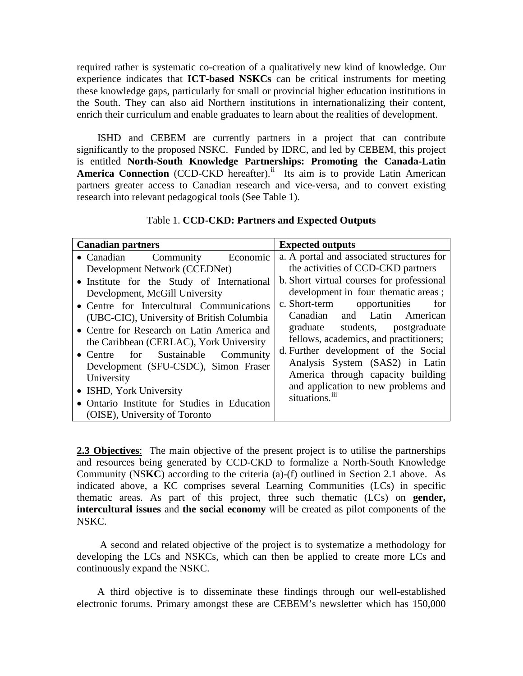required rather is systematic co-creation of a qualitatively new kind of knowledge. Our experience indicates that **ICT-based NSKCs** can be critical instruments for meeting these knowledge gaps, particularly for small or provincial higher education institutions in the South. They can also aid Northern institutions in internationalizing their content, enrich their curriculum and enable graduates to learn about the realities of development.

 ISHD and CEBEM are currently partners in a project that can contribute significantly to the proposed NSKC. Funded by IDRC, and led by CEBEM, this project is entitled **North-South Knowledge Partnerships: Promoting the Canada-Latin**  America Connection (CCD-CKD hereafter).<sup>[ii](#page-12-1)</sup> Its aim is to provide Latin American partners greater access to Canadian research and vice-versa, and to convert existing research into relevant pedagogical tools (See Table 1).

| Table 1. CCD-CKD: Partners and Expected Outputs |  |
|-------------------------------------------------|--|
|                                                 |  |

| <b>Canadian partners</b>                     | <b>Expected outputs</b>                   |  |
|----------------------------------------------|-------------------------------------------|--|
| • Canadian Community<br>Economic             | a. A portal and associated structures for |  |
| Development Network (CCEDNet)                | the activities of CCD-CKD partners        |  |
| • Institute for the Study of International   | b. Short virtual courses for professional |  |
| Development, McGill University               | development in four thematic areas;       |  |
| • Centre for Intercultural Communications    | c. Short-term opportunities<br>for        |  |
| (UBC-CIC), University of British Columbia    | Canadian and Latin American               |  |
| • Centre for Research on Latin America and   | graduate students, postgraduate           |  |
| the Caribbean (CERLAC), York University      | fellows, academics, and practitioners;    |  |
| • Centre for Sustainable Community           | d. Further development of the Social      |  |
| Development (SFU-CSDC), Simon Fraser         | Analysis System (SAS2) in Latin           |  |
| University                                   | America through capacity building         |  |
| • ISHD, York University                      | and application to new problems and       |  |
| • Ontario Institute for Studies in Education | situations. <sup>iii</sup>                |  |
| (OISE), University of Toronto                |                                           |  |

**2.3 Objectives**: The main objective of the present project is to utilise the partnerships and resources being generated by CCD-CKD to formalize a North-South Knowledge Community (NS**KC**) according to the criteria (a)-(f) outlined in Section 2.1 above. As indicated above, a KC comprises several Learning Communities (LCs) in specific thematic areas. As part of this project, three such thematic (LCs) on **gender, intercultural issues** and **the social economy** will be created as pilot components of the NSKC.

 A second and related objective of the project is to systematize a methodology for developing the LCs and NSKCs, which can then be applied to create more LCs and continuously expand the NSKC.

 A third objective is to disseminate these findings through our well-established electronic forums. Primary amongst these are CEBEM's newsletter which has 150,000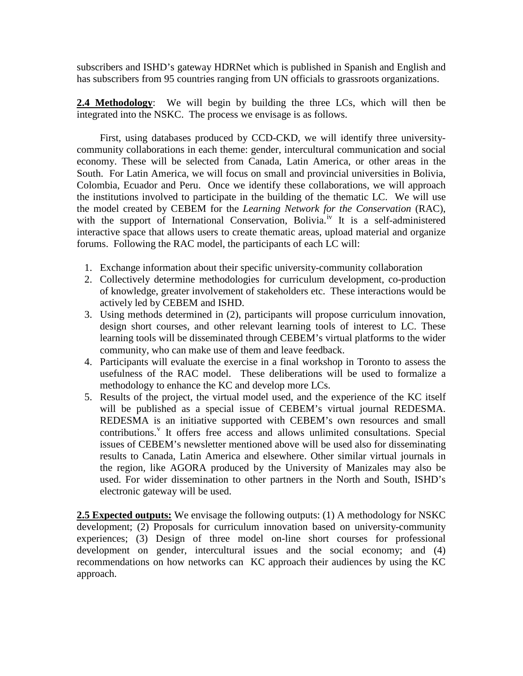subscribers and ISHD's gateway HDRNet which is published in Spanish and English and has subscribers from 95 countries ranging from UN officials to grassroots organizations.

**2.4 Methodology**: We will begin by building the three LCs, which will then be integrated into the NSKC. The process we envisage is as follows.

 First, using databases produced by CCD-CKD, we will identify three universitycommunity collaborations in each theme: gender, intercultural communication and social economy. These will be selected from Canada, Latin America, or other areas in the South. For Latin America, we will focus on small and provincial universities in Bolivia, Colombia, Ecuador and Peru. Once we identify these collaborations, we will approach the institutions involved to participate in the building of the thematic LC. We will use the model created by CEBEM for the *Learning Network for the Conservation* (RAC), with the support of International Conservation, Bol[iv](#page-12-3)ia.<sup>iv</sup> It is a self-administered interactive space that allows users to create thematic areas, upload material and organize forums. Following the RAC model, the participants of each LC will:

- 1. Exchange information about their specific university-community collaboration
- 2. Collectively determine methodologies for curriculum development, co-production of knowledge, greater involvement of stakeholders etc. These interactions would be actively led by CEBEM and ISHD.
- 3. Using methods determined in (2), participants will propose curriculum innovation, design short courses, and other relevant learning tools of interest to LC. These learning tools will be disseminated through CEBEM's virtual platforms to the wider community, who can make use of them and leave feedback.
- 4. Participants will evaluate the exercise in a final workshop in Toronto to assess the usefulness of the RAC model. These deliberations will be used to formalize a methodology to enhance the KC and develop more LCs.
- 5. Results of the project, the virtual model used, and the experience of the KC itself will be published as a special issue of CEBEM's virtual journal REDESMA. REDESMA is an initiative supported with CEBEM's own resources and small contributions.<sup>[v](#page-12-4)</sup> It offers free access and allows unlimited consultations. Special issues of CEBEM's newsletter mentioned above will be used also for disseminating results to Canada, Latin America and elsewhere. Other similar virtual journals in the region, like AGORA produced by the University of Manizales may also be used. For wider dissemination to other partners in the North and South, ISHD's electronic gateway will be used.

**2.5 Expected outputs:** We envisage the following outputs: (1) A methodology for NSKC development; (2) Proposals for curriculum innovation based on university-community experiences; (3) Design of three model on-line short courses for professional development on gender, intercultural issues and the social economy; and (4) recommendations on how networks can KC approach their audiences by using the KC approach.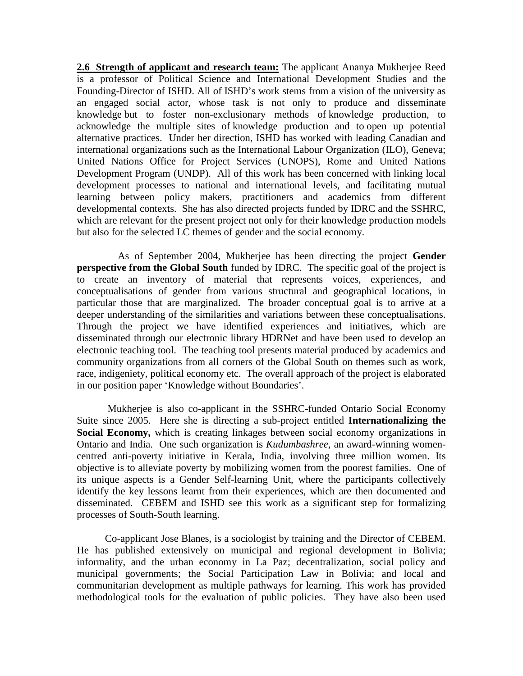**2.6 Strength of applicant and research team:** The applicant Ananya Mukherjee Reed is a professor of Political Science and International Development Studies and the Founding-Director of ISHD. All of ISHD's work stems from a vision of the university as an engaged social actor, whose task is not only to produce and disseminate knowledge but to foster non-exclusionary methods of knowledge production, to acknowledge the multiple sites of knowledge production and to open up potential alternative practices. Under her direction, ISHD has worked with leading Canadian and international organizations such as the International Labour Organization (ILO), Geneva; United Nations Office for Project Services (UNOPS), Rome and United Nations Development Program (UNDP). All of this work has been concerned with linking local development processes to national and international levels, and facilitating mutual learning between policy makers, practitioners and academics from different developmental contexts. She has also directed projects funded by IDRC and the SSHRC, which are relevant for the present project not only for their knowledge production models but also for the selected LC themes of gender and the social economy.

 As of September 2004, Mukherjee has been directing the project **Gender perspective from the Global South** funded by IDRC. The specific goal of the project is to create an inventory of material that represents voices, experiences, and conceptualisations of gender from various structural and geographical locations, in particular those that are marginalized. The broader conceptual goal is to arrive at a deeper understanding of the similarities and variations between these conceptualisations. Through the project we have identified experiences and initiatives, which are disseminated through our electronic library HDRNet and have been used to develop an electronic teaching tool. The teaching tool presents material produced by academics and community organizations from all corners of the Global South on themes such as work, race, indigeniety, political economy etc. The overall approach of the project is elaborated in our position paper 'Knowledge without Boundaries'.

 Mukherjee is also co-applicant in the SSHRC-funded Ontario Social Economy Suite since 2005. Here she is directing a sub-project entitled **Internationalizing the Social Economy,** which is creating linkages between social economy organizations in Ontario and India. One such organization is *Kudumbashree*, an award-winning womencentred anti-poverty initiative in Kerala, India, involving three million women. Its objective is to alleviate poverty by mobilizing women from the poorest families. One of its unique aspects is a Gender Self-learning Unit, where the participants collectively identify the key lessons learnt from their experiences, which are then documented and disseminated. CEBEM and ISHD see this work as a significant step for formalizing processes of South-South learning.

 Co-applicant Jose Blanes, is a sociologist by training and the Director of CEBEM. He has published extensively on municipal and regional development in Bolivia; informality, and the urban economy in La Paz; decentralization, social policy and municipal governments; the Social Participation Law in Bolivia; and local and communitarian development as multiple pathways for learning. This work has provided methodological tools for the evaluation of public policies. They have also been used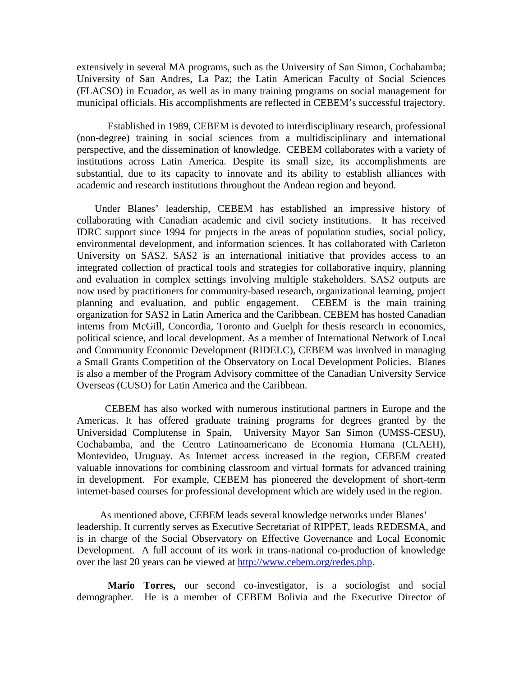extensively in several MA programs, such as the University of San Simon, Cochabamba; University of San Andres, La Paz; the Latin American Faculty of Social Sciences (FLACSO) in Ecuador, as well as in many training programs on social management for municipal officials. His accomplishments are reflected in CEBEM's successful trajectory.

Established in 1989, CEBEM is devoted to interdisciplinary research, professional (non-degree) training in social sciences from a multidisciplinary and international perspective, and the dissemination of knowledge. CEBEM collaborates with a variety of institutions across Latin America. Despite its small size, its accomplishments are substantial, due to its capacity to innovate and its ability to establish alliances with academic and research institutions throughout the Andean region and beyond.

 Under Blanes' leadership, CEBEM has established an impressive history of collaborating with Canadian academic and civil society institutions. It has received IDRC support since 1994 for projects in the areas of population studies, social policy, environmental development, and information sciences. It has collaborated with Carleton University on SAS2. SAS2 is an international initiative that provides access to an integrated collection of practical tools and strategies for collaborative inquiry, planning and evaluation in complex settings involving multiple stakeholders. SAS2 outputs are now used by practitioners for community-based research, organizational learning, project planning and evaluation, and public engagement. CEBEM is the main training organization for SAS2 in Latin America and the Caribbean. CEBEM has hosted Canadian interns from McGill, Concordia, Toronto and Guelph for thesis research in economics, political science, and local development. As a member of International Network of Local and Community Economic Development (RIDELC), CEBEM was involved in managing a Small Grants Competition of the Observatory on Local Development Policies. Blanes is also a member of the Program Advisory committee of the Canadian University Service Overseas (CUSO) for Latin America and the Caribbean.

 CEBEM has also worked with numerous institutional partners in Europe and the Americas. It has offered graduate training programs for degrees granted by the Universidad Complutense in Spain, University Mayor San Simon (UMSS-CESU), Cochabamba, and the Centro Latinoamericano de Economia Humana (CLAEH), Montevideo, Uruguay. As Internet access increased in the region, CEBEM created valuable innovations for combining classroom and virtual formats for advanced training in development. For example, CEBEM has pioneered the development of short-term internet-based courses for professional development which are widely used in the region.

 As mentioned above, CEBEM leads several knowledge networks under Blanes' leadership. It currently serves as Executive Secretariat of RIPPET, leads REDESMA, and is in charge of the Social Observatory on Effective Governance and Local Economic Development. A full account of its work in trans-national co-production of knowledge over the last 20 years can be viewed at [http://www.cebem.org/redes.php.](http://www.cebem.org/redes.php)

 **Mario Torres,** our second co-investigator, is a sociologist and social demographer. He is a member of CEBEM Bolivia and the Executive Director of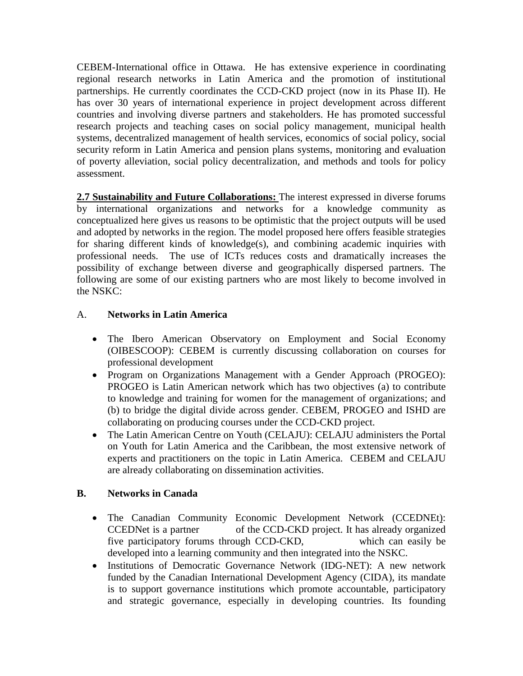CEBEM-International office in Ottawa. He has extensive experience in coordinating regional research networks in Latin America and the promotion of institutional partnerships. He currently coordinates the CCD-CKD project (now in its Phase II). He has over 30 years of international experience in project development across different countries and involving diverse partners and stakeholders. He has promoted successful research projects and teaching cases on social policy management, municipal health systems, decentralized management of health services, economics of social policy, social security reform in Latin America and pension plans systems, monitoring and evaluation of poverty alleviation, social policy decentralization, and methods and tools for policy assessment.

2.7 Sustainability and Future Collaborations: The interest expressed in diverse forums by international organizations and networks for a knowledge community as conceptualized here gives us reasons to be optimistic that the project outputs will be used and adopted by networks in the region. The model proposed here offers feasible strategies for sharing different kinds of knowledge(s), and combining academic inquiries with professional needs. The use of ICTs reduces costs and dramatically increases the possibility of exchange between diverse and geographically dispersed partners. The following are some of our existing partners who are most likely to become involved in the NSKC:

## A. **Networks in Latin America**

- The Ibero American Observatory on Employment and Social Economy (OIBESCOOP): CEBEM is currently discussing collaboration on courses for professional development
- Program on Organizations Management with a Gender Approach (PROGEO): PROGEO is Latin American network which has two objectives (a) to contribute to knowledge and training for women for the management of organizations; and (b) to bridge the digital divide across gender. CEBEM, PROGEO and ISHD are collaborating on producing courses under the CCD-CKD project.
- The Latin American Centre on Youth (CELAJU): CELAJU administers the Portal on Youth for Latin America and the Caribbean, the most extensive network of experts and practitioners on the topic in Latin America. CEBEM and CELAJU are already collaborating on dissemination activities.

## **B. Networks in Canada**

- The Canadian Community Economic Development Network (CCEDNEt): CCEDNet is a partner of the CCD-CKD project. It has already organized five participatory forums through CCD-CKD, which can easily be developed into a learning community and then integrated into the NSKC.
- Institutions of Democratic Governance Network (IDG-NET): A new network funded by the Canadian International Development Agency (CIDA), its mandate is to support governance institutions which promote accountable, participatory and strategic governance, especially in developing countries. Its founding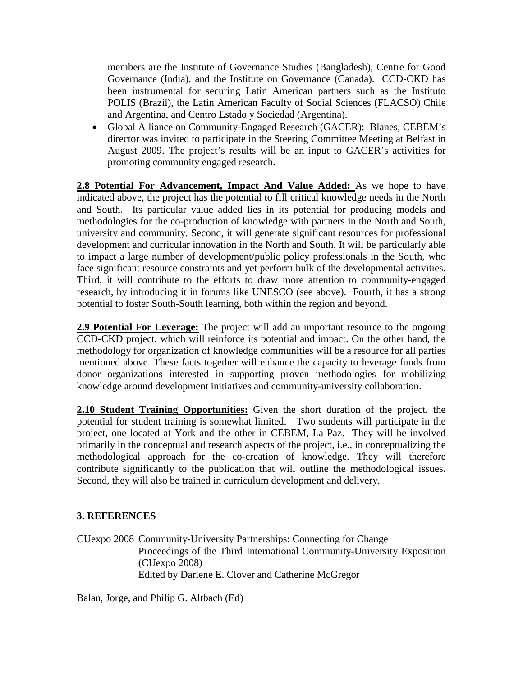members are the Institute of Governance Studies (Bangladesh), Centre for Good Governance (India), and the Institute on Governance (Canada). CCD-CKD has been instrumental for securing Latin American partners such as the Instituto POLIS (Brazil), the Latin American Faculty of Social Sciences (FLACSO) Chile and Argentina, and Centro Estado y Sociedad (Argentina).

• Global Alliance on Community-Engaged Research (GACER): Blanes, CEBEM's director was invited to participate in the Steering Committee Meeting at Belfast in August 2009. The project's results will be an input to GACER's activities for promoting community engaged research.

**2.8 Potential For Advancement, Impact And Value Added:** As we hope to have indicated above, the project has the potential to fill critical knowledge needs in the North and South. Its particular value added lies in its potential for producing models and methodologies for the co-production of knowledge with partners in the North and South, university and community. Second, it will generate significant resources for professional development and curricular innovation in the North and South. It will be particularly able to impact a large number of development/public policy professionals in the South, who face significant resource constraints and yet perform bulk of the developmental activities. Third, it will contribute to the efforts to draw more attention to community-engaged research, by introducing it in forums like UNESCO (see above). Fourth, it has a strong potential to foster South-South learning, both within the region and beyond.

**2.9 Potential For Leverage:** The project will add an important resource to the ongoing CCD-CKD project, which will reinforce its potential and impact. On the other hand, the methodology for organization of knowledge communities will be a resource for all parties mentioned above. These facts together will enhance the capacity to leverage funds from donor organizations interested in supporting proven methodologies for mobilizing knowledge around development initiatives and community-university collaboration.

**2.10 Student Training Opportunities:** Given the short duration of the project, the potential for student training is somewhat limited. Two students will participate in the project, one located at York and the other in CEBEM, La Paz. They will be involved primarily in the conceptual and research aspects of the project, i.e., in conceptualizing the methodological approach for the co-creation of knowledge. They will therefore contribute significantly to the publication that will outline the methodological issues. Second, they will also be trained in curriculum development and delivery.

### **3. REFERENCES**

CUexpo 2008 Community-University Partnerships: Connecting for Change Proceedings of the Third International Community-University Exposition (CUexpo 2008) Edited by Darlene E. Clover and Catherine McGregor

Balan, Jorge, and Philip G. Altbach (Ed)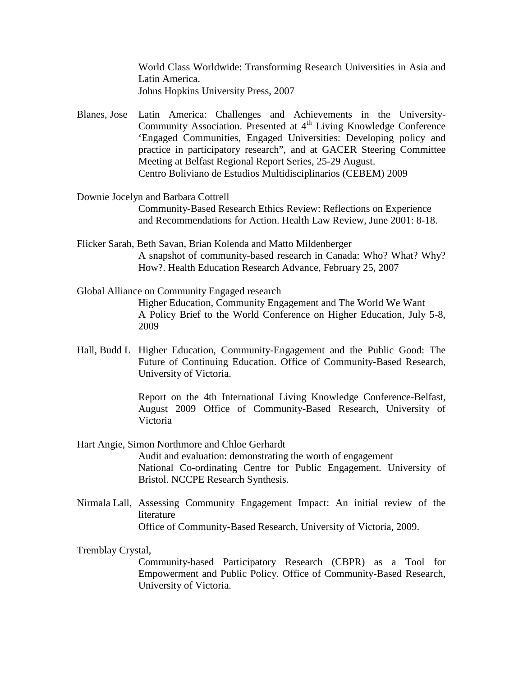World Class Worldwide: Transforming Research Universities in Asia and Latin America. Johns Hopkins University Press, 2007

- Blanes, Jose Latin America: Challenges and Achievements in the University-Community Association. Presented at 4<sup>th</sup> Living Knowledge Conference 'Engaged Communities, Engaged Universities: Developing policy and practice in participatory research", and at GACER Steering Committee Meeting at Belfast Regional Report Series, 25-29 August. Centro Boliviano de Estudios Multidisciplinarios (CEBEM) 2009
- Downie Jocelyn and Barbara Cottrell Community-Based Research Ethics Review: Reflections on Experience and Recommendations for Action. Health Law Review, June 2001: 8-18.
- Flicker Sarah, Beth Savan, Brian Kolenda and Matto Mildenberger A snapshot of community-based research in Canada: Who? What? Why? How?. Health Education Research Advance, February 25, 2007
- Global Alliance on Community Engaged research Higher Education, Community Engagement and The World We Want A Policy Brief to the World Conference on Higher Education, July 5-8, 2009
- Hall, Budd L Higher Education, Community-Engagement and the Public Good: The Future of Continuing Education. Office of Community-Based Research, University of Victoria.

Report on the 4th International Living Knowledge Conference-Belfast, August 2009 Office of Community-Based Research, University of Victoria

Hart Angie, Simon Northmore and Chloe Gerhardt

Audit and evaluation: demonstrating the worth of engagement National Co-ordinating Centre for Public Engagement. University of Bristol. NCCPE Research Synthesis.

Nirmala Lall, Assessing Community Engagement Impact: An initial review of the literature Office of Community-Based Research, University of Victoria, 2009.

Tremblay Crystal,

Community-based Participatory Research (CBPR) as a Tool for Empowerment and Public Policy. Office of Community-Based Research, University of Victoria.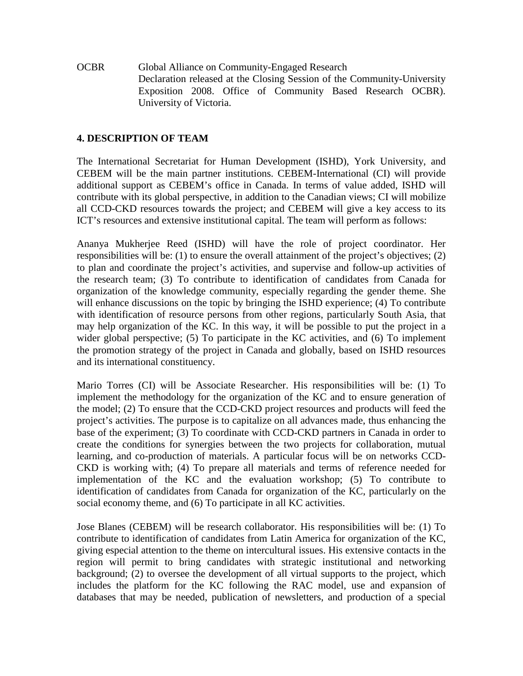OCBR Global Alliance on Community-Engaged Research Declaration released at the Closing Session of the Community-University Exposition 2008. Office of Community Based Research OCBR). University of Victoria.

#### **4. DESCRIPTION OF TEAM**

The International Secretariat for Human Development (ISHD), York University, and CEBEM will be the main partner institutions. CEBEM-International (CI) will provide additional support as CEBEM's office in Canada. In terms of value added, ISHD will contribute with its global perspective, in addition to the Canadian views; CI will mobilize all CCD-CKD resources towards the project; and CEBEM will give a key access to its ICT's resources and extensive institutional capital. The team will perform as follows:

Ananya Mukherjee Reed (ISHD) will have the role of project coordinator. Her responsibilities will be: (1) to ensure the overall attainment of the project's objectives; (2) to plan and coordinate the project's activities, and supervise and follow-up activities of the research team; (3) To contribute to identification of candidates from Canada for organization of the knowledge community, especially regarding the gender theme. She will enhance discussions on the topic by bringing the ISHD experience; (4) To contribute with identification of resource persons from other regions, particularly South Asia, that may help organization of the KC. In this way, it will be possible to put the project in a wider global perspective; (5) To participate in the KC activities, and (6) To implement the promotion strategy of the project in Canada and globally, based on ISHD resources and its international constituency.

Mario Torres (CI) will be Associate Researcher. His responsibilities will be: (1) To implement the methodology for the organization of the KC and to ensure generation of the model; (2) To ensure that the CCD-CKD project resources and products will feed the project's activities. The purpose is to capitalize on all advances made, thus enhancing the base of the experiment; (3) To coordinate with CCD-CKD partners in Canada in order to create the conditions for synergies between the two projects for collaboration, mutual learning, and co-production of materials. A particular focus will be on networks CCD-CKD is working with; (4) To prepare all materials and terms of reference needed for implementation of the KC and the evaluation workshop; (5) To contribute to identification of candidates from Canada for organization of the KC, particularly on the social economy theme, and (6) To participate in all KC activities.

Jose Blanes (CEBEM) will be research collaborator. His responsibilities will be: (1) To contribute to identification of candidates from Latin America for organization of the KC, giving especial attention to the theme on intercultural issues. His extensive contacts in the region will permit to bring candidates with strategic institutional and networking background; (2) to oversee the development of all virtual supports to the project, which includes the platform for the KC following the RAC model, use and expansion of databases that may be needed, publication of newsletters, and production of a special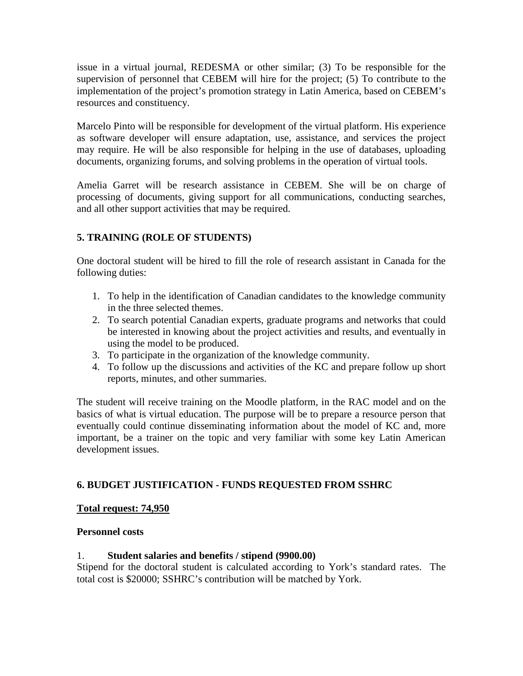issue in a virtual journal, REDESMA or other similar; (3) To be responsible for the supervision of personnel that CEBEM will hire for the project; (5) To contribute to the implementation of the project's promotion strategy in Latin America, based on CEBEM's resources and constituency.

Marcelo Pinto will be responsible for development of the virtual platform. His experience as software developer will ensure adaptation, use, assistance, and services the project may require. He will be also responsible for helping in the use of databases, uploading documents, organizing forums, and solving problems in the operation of virtual tools.

Amelia Garret will be research assistance in CEBEM. She will be on charge of processing of documents, giving support for all communications, conducting searches, and all other support activities that may be required.

## **5. TRAINING (ROLE OF STUDENTS)**

One doctoral student will be hired to fill the role of research assistant in Canada for the following duties:

- 1. To help in the identification of Canadian candidates to the knowledge community in the three selected themes.
- 2. To search potential Canadian experts, graduate programs and networks that could be interested in knowing about the project activities and results, and eventually in using the model to be produced.
- 3. To participate in the organization of the knowledge community.
- 4. To follow up the discussions and activities of the KC and prepare follow up short reports, minutes, and other summaries.

The student will receive training on the Moodle platform, in the RAC model and on the basics of what is virtual education. The purpose will be to prepare a resource person that eventually could continue disseminating information about the model of KC and, more important, be a trainer on the topic and very familiar with some key Latin American development issues.

## **6. BUDGET JUSTIFICATION - FUNDS REQUESTED FROM SSHRC**

### **Total request: 74,950**

### **Personnel costs**

### 1. **Student salaries and benefits / stipend (9900.00)**

Stipend for the doctoral student is calculated according to York's standard rates. The total cost is \$20000; SSHRC's contribution will be matched by York.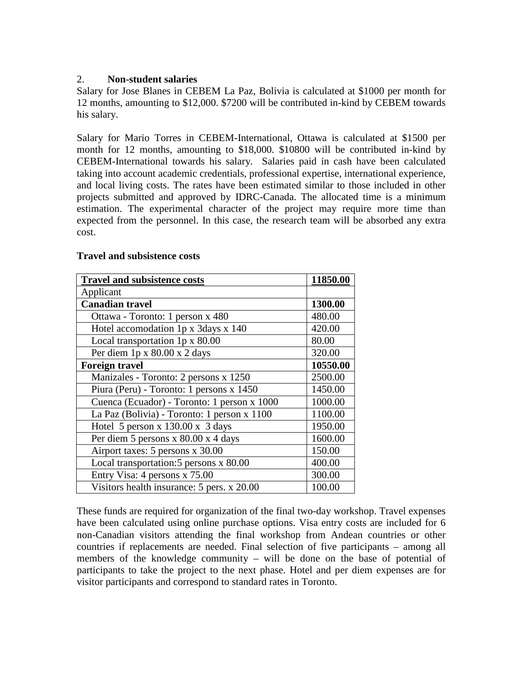### 2. **Non-student salaries**

Salary for Jose Blanes in CEBEM La Paz, Bolivia is calculated at \$1000 per month for 12 months, amounting to \$12,000. \$7200 will be contributed in-kind by CEBEM towards his salary.

Salary for Mario Torres in CEBEM-International, Ottawa is calculated at \$1500 per month for 12 months, amounting to \$18,000. \$10800 will be contributed in-kind by CEBEM-International towards his salary. Salaries paid in cash have been calculated taking into account academic credentials, professional expertise, international experience, and local living costs. The rates have been estimated similar to those included in other projects submitted and approved by IDRC-Canada. The allocated time is a minimum estimation. The experimental character of the project may require more time than expected from the personnel. In this case, the research team will be absorbed any extra cost.

#### **Travel and subsistence costs**

| <b>Travel and subsistence costs</b>         | 11850.00 |
|---------------------------------------------|----------|
| Applicant                                   |          |
| <b>Canadian travel</b>                      | 1300.00  |
| Ottawa - Toronto: 1 person x 480            | 480.00   |
| Hotel accomodation 1p x 3days x 140         | 420.00   |
| Local transportation 1p x 80.00             | 80.00    |
| Per diem $1p \times 80.00 \times 2$ days    | 320.00   |
| <b>Foreign travel</b>                       | 10550.00 |
| Manizales - Toronto: 2 persons x 1250       | 2500.00  |
| Piura (Peru) - Toronto: 1 persons x 1450    | 1450.00  |
| Cuenca (Ecuador) - Toronto: 1 person x 1000 | 1000.00  |
| La Paz (Bolivia) - Toronto: 1 person x 1100 | 1100.00  |
| Hotel 5 person x $130.00$ x 3 days          | 1950.00  |
| Per diem 5 persons x $80.00$ x 4 days       | 1600.00  |
| Airport taxes: 5 persons x 30.00            | 150.00   |
| Local transportation: 5 persons x 80.00     | 400.00   |
| Entry Visa: 4 persons x 75.00               | 300.00   |
| Visitors health insurance: 5 pers. x 20.00  | 100.00   |

These funds are required for organization of the final two-day workshop. Travel expenses have been calculated using online purchase options. Visa entry costs are included for 6 non-Canadian visitors attending the final workshop from Andean countries or other countries if replacements are needed. Final selection of five participants – among all members of the knowledge community – will be done on the base of potential of participants to take the project to the next phase. Hotel and per diem expenses are for visitor participants and correspond to standard rates in Toronto.